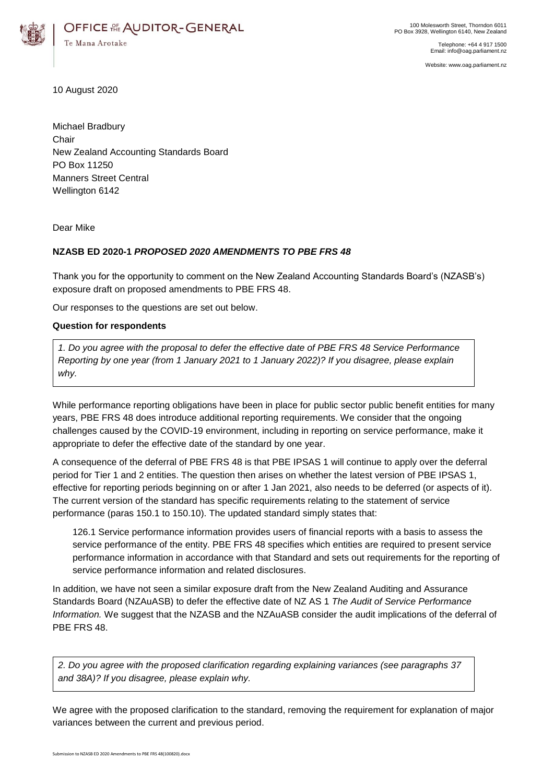

Telephone: +64 4 917 1500 Email: info@oag.parliament.nz

Website: www.oag.parliament.nz

10 August 2020

Michael Bradbury **Chair** New Zealand Accounting Standards Board PO Box 11250 Manners Street Central Wellington 6142

Dear Mike

## **NZASB ED 2020-1** *PROPOSED 2020 AMENDMENTS TO PBE FRS 48*

Thank you for the opportunity to comment on the New Zealand Accounting Standards Board's (NZASB's) exposure draft on proposed amendments to PBE FRS 48.

Our responses to the questions are set out below.

## **Question for respondents**

*1. Do you agree with the proposal to defer the effective date of PBE FRS 48 Service Performance Reporting by one year (from 1 January 2021 to 1 January 2022)? If you disagree, please explain why.*

While performance reporting obligations have been in place for public sector public benefit entities for many years, PBE FRS 48 does introduce additional reporting requirements. We consider that the ongoing challenges caused by the COVID-19 environment, including in reporting on service performance, make it appropriate to defer the effective date of the standard by one year.

A consequence of the deferral of PBE FRS 48 is that PBE IPSAS 1 will continue to apply over the deferral period for Tier 1 and 2 entities. The question then arises on whether the latest version of PBE IPSAS 1, effective for reporting periods beginning on or after 1 Jan 2021, also needs to be deferred (or aspects of it). The current version of the standard has specific requirements relating to the statement of service performance (paras 150.1 to 150.10). The updated standard simply states that:

126.1 Service performance information provides users of financial reports with a basis to assess the service performance of the entity. PBE FRS 48 specifies which entities are required to present service performance information in accordance with that Standard and sets out requirements for the reporting of service performance information and related disclosures.

In addition, we have not seen a similar exposure draft from the New Zealand Auditing and Assurance Standards Board (NZAuASB) to defer the effective date of NZ AS 1 *The Audit of Service Performance Information.* We suggest that the NZASB and the NZAuASB consider the audit implications of the deferral of PBE FRS 48.

*2. Do you agree with the proposed clarification regarding explaining variances (see paragraphs 37 and 38A)? If you disagree, please explain why.*

We agree with the proposed clarification to the standard, removing the requirement for explanation of major variances between the current and previous period.